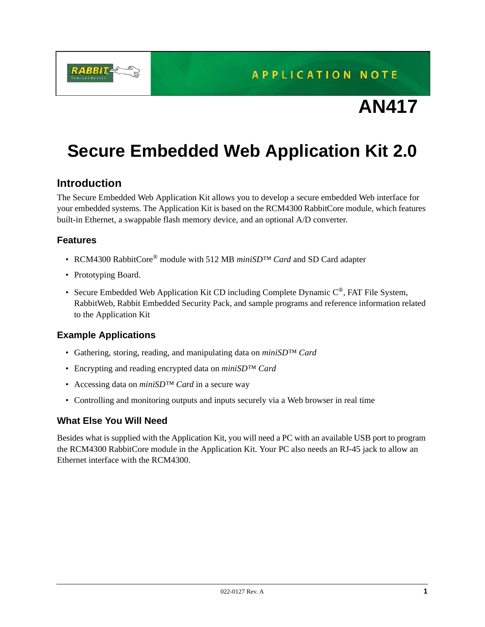**APPLICATION NOTE** 

# **AN417**

# **Secure Embedded Web Application Kit 2.0**

### **Introduction**

The Secure Embedded Web Application Kit allows you to develop a secure embedded Web interface for your embedded systems. The Application Kit is based on the RCM4300 RabbitCore module, which features built-in Ethernet, a swappable flash memory device, and an optional A/D converter.

#### **Features**

- RCM4300 RabbitCore® module with 512 MB *miniSD™ Card* and SD Card adapter
- Prototyping Board.
- Secure Embedded Web Application Kit CD including Complete Dynamic  $C^{\mathcal{D}}$ , FAT File System, RabbitWeb, Rabbit Embedded Security Pack, and sample programs and reference information related to the Application Kit

#### **Example Applications**

- Gathering, storing, reading, and manipulating data on *miniSD™ Card*
- Encrypting and reading encrypted data on *miniSD™ Card*
- Accessing data on *miniSD™ Card* in a secure way
- Controlling and monitoring outputs and inputs securely via a Web browser in real time

#### **What Else You Will Need**

Besides what is supplied with the Application Kit, you will need a PC with an available USB port to program the RCM4300 RabbitCore module in the Application Kit. Your PC also needs an RJ-45 jack to allow an Ethernet interface with the RCM4300.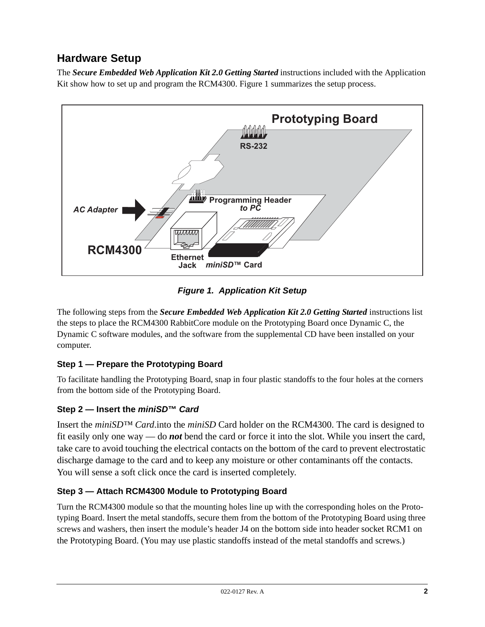# **Hardware Setup**

The *Secure Embedded Web Application Kit 2.0 Getting Started* instructions included with the Application Kit show how to set up and program the RCM4300. [Figure 1](#page-1-0) summarizes the setup process.



*Figure 1. Application Kit Setup*

<span id="page-1-0"></span>The following steps from the *Secure Embedded Web Application Kit 2.0 Getting Started* instructions list the steps to place the RCM4300 RabbitCore module on the Prototyping Board once Dynamic C, the Dynamic C software modules, and the software from the supplemental CD have been installed on your computer.

## **Step 1 — Prepare the Prototyping Board**

To facilitate handling the Prototyping Board, snap in four plastic standoffs to the four holes at the corners from the bottom side of the Prototyping Board.

## **Step 2 — Insert the** *miniSD***™** *Card*

Insert the *miniSD™ Card*.into the *miniSD* Card holder on the RCM4300. The card is designed to fit easily only one way — do *not* bend the card or force it into the slot. While you insert the card, take care to avoid touching the electrical contacts on the bottom of the card to prevent electrostatic discharge damage to the card and to keep any moisture or other contaminants off the contacts. You will sense a soft click once the card is inserted completely.

## **Step 3 — Attach RCM4300 Module to Prototyping Board**

Turn the RCM4300 module so that the mounting holes line up with the corresponding holes on the Prototyping Board. Insert the metal standoffs, secure them from the bottom of the Prototyping Board using three screws and washers, then insert the module's header J4 on the bottom side into header socket RCM1 on the Prototyping Board. (You may use plastic standoffs instead of the metal standoffs and screws.)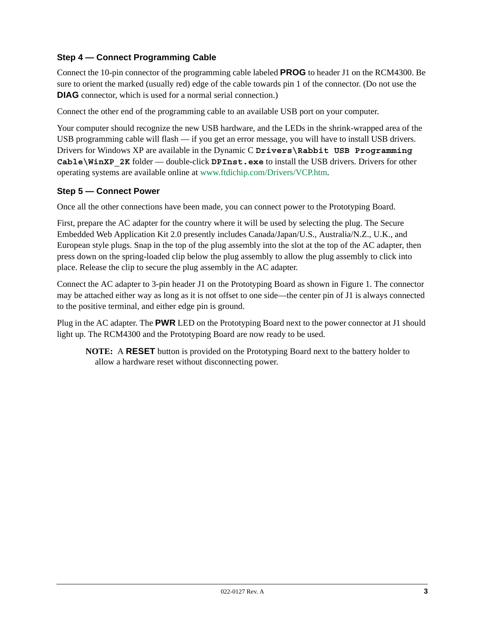#### **Step 4 — Connect Programming Cable**

Connect the 10-pin connector of the programming cable labeled **PROG** to header J1 on the RCM4300. Be sure to orient the marked (usually red) edge of the cable towards pin 1 of the connector. (Do not use the **DIAG** connector, which is used for a normal serial connection.)

Connect the other end of the programming cable to an available USB port on your computer.

Your computer should recognize the new USB hardware, and the LEDs in the shrink-wrapped area of the USB programming cable will flash — if you get an error message, you will have to install USB drivers. Drivers for Windows XP are available in the Dynamic C **Drivers\Rabbit USB Programming Cable\WinXP\_2K** folder — double-click **DPInst.exe** to install the USB drivers. Drivers for other operating systems are available online at [www.ftdichip.com/Drivers/VCP.htm](http://www.ftdichip.com/Drivers/VCP.htm).

#### **Step 5 — Connect Power**

Once all the other connections have been made, you can connect power to the Prototyping Board.

First, prepare the AC adapter for the country where it will be used by selecting the plug. The Secure Embedded Web Application Kit 2.0 presently includes Canada/Japan/U.S., Australia/N.Z., U.K., and European style plugs. Snap in the top of the plug assembly into the slot at the top of the AC adapter, then press down on the spring-loaded clip below the plug assembly to allow the plug assembly to click into place. Release the clip to secure the plug assembly in the AC adapter.

Connect the AC adapter to 3-pin header J1 on the Prototyping Board as shown in [Figure 1](#page-1-0). The connector may be attached either way as long as it is not offset to one side—the center pin of J1 is always connected to the positive terminal, and either edge pin is ground.

Plug in the AC adapter. The **PWR** LED on the Prototyping Board next to the power connector at J1 should light up. The RCM4300 and the Prototyping Board are now ready to be used.

**NOTE:** A **RESET** button is provided on the Prototyping Board next to the battery holder to allow a hardware reset without disconnecting power.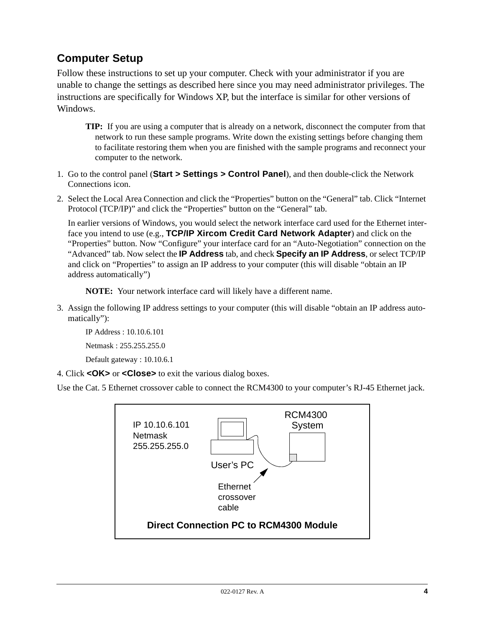# **Computer Setup**

Follow these instructions to set up your computer. Check with your administrator if you are unable to change the settings as described here since you may need administrator privileges. The instructions are specifically for Windows XP, but the interface is similar for other versions of Windows.

- **TIP:** If you are using a computer that is already on a network, disconnect the computer from that network to run these sample programs. Write down the existing settings before changing them to facilitate restoring them when you are finished with the sample programs and reconnect your computer to the network.
- 1. Go to the control panel (**Start > Settings > Control Panel**), and then double-click the Network Connections icon.
- 2. Select the Local Area Connection and click the "Properties" button on the "General" tab. Click "Internet Protocol (TCP/IP)" and click the "Properties" button on the "General" tab.

In earlier versions of Windows, you would select the network interface card used for the Ethernet interface you intend to use (e.g., **TCP/IP Xircom Credit Card Network Adapter**) and click on the "Properties" button. Now "Configure" your interface card for an "Auto-Negotiation" connection on the "Advanced" tab. Now select the **IP Address** tab, and check **Specify an IP Address**, or select TCP/IP and click on "Properties" to assign an IP address to your computer (this will disable "obtain an IP address automatically")

**NOTE:** Your network interface card will likely have a different name.

3. Assign the following IP address settings to your computer (this will disable "obtain an IP address automatically"):

IP Address : 10.10.6.101

Netmask : 255.255.255.0

Default gateway : 10.10.6.1

4. Click **<OK>** or **<Close>** to exit the various dialog boxes.

Use the Cat. 5 Ethernet crossover cable to connect the RCM4300 to your computer's RJ-45 Ethernet jack.

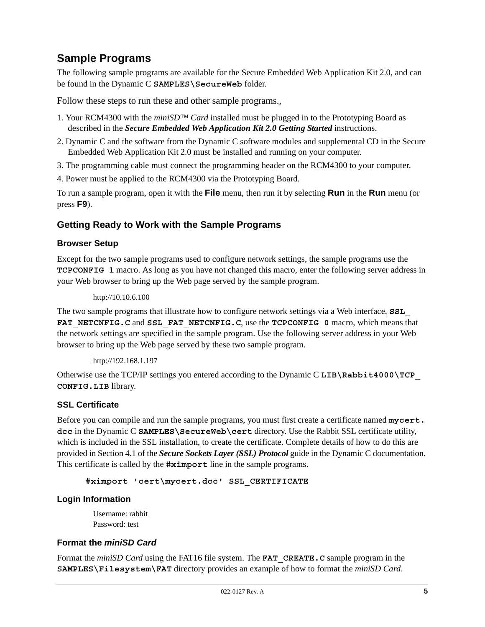## **Sample Programs**

The following sample programs are available for the Secure Embedded Web Application Kit 2.0, and can be found in the Dynamic C **SAMPLES\SecureWeb** folder.

Follow these steps to run these and other sample programs.,

- 1. Your RCM4300 with the *miniSD™ Card* installed must be plugged in to the Prototyping Board as described in the *Secure Embedded Web Application Kit 2.0 Getting Started* instructions.
- 2. Dynamic C and the software from the Dynamic C software modules and supplemental CD in the Secure Embedded Web Application Kit 2.0 must be installed and running on your computer.
- 3. The programming cable must connect the programming header on the RCM4300 to your computer.

4. Power must be applied to the RCM4300 via the Prototyping Board.

To run a sample program, open it with the **File** menu, then run it by selecting **Run** in the **Run** menu (or press **F9**).

#### **Getting Ready to Work with the Sample Programs**

#### **Browser Setup**

Except for the two sample programs used to configure network settings, the sample programs use the **TCPCONFIG 1** macro. As long as you have not changed this macro, enter the following server address in your Web browser to bring up the Web page served by the sample program.

```
http://10.10.6.100
```
The two sample programs that illustrate how to configure network settings via a Web interface, **SSL\_** FAT NETCNFIG.C and SSL FAT NETCNFIG.C, use the **TCPCONFIG** 0 macro, which means that the network settings are specified in the sample program. Use the following server address in your Web browser to bring up the Web page served by these two sample program.

```
http://192.168.1.197
```
Otherwise use the TCP/IP settings you entered according to the Dynamic C **LIB\Rabbit4000\TCP\_ CONFIG.LIB** library.

#### **SSL Certificate**

Before you can compile and run the sample programs, you must first create a certificate named **mycert. dcc** in the Dynamic C **SAMPLES\SecureWeb\cert** directory. Use the Rabbit SSL certificate utility, which is included in the SSL installation, to create the certificate. Complete details of how to do this are provided in Section 4.1 of the *Secure Sockets Layer (SSL) Protocol* guide in the Dynamic C documentation. This certificate is called by the **#ximport** line in the sample programs.

**#ximport 'cert\mycert.dcc' SSL\_CERTIFICATE**

#### **Login Information**

Username: rabbit Password: test

#### **Format the** *miniSD Card*

Format the *miniSD Card* using the FAT16 file system. The **FAT** CREATE. C sample program in the **SAMPLES\Filesystem\FAT** directory provides an example of how to format the *miniSD Card*.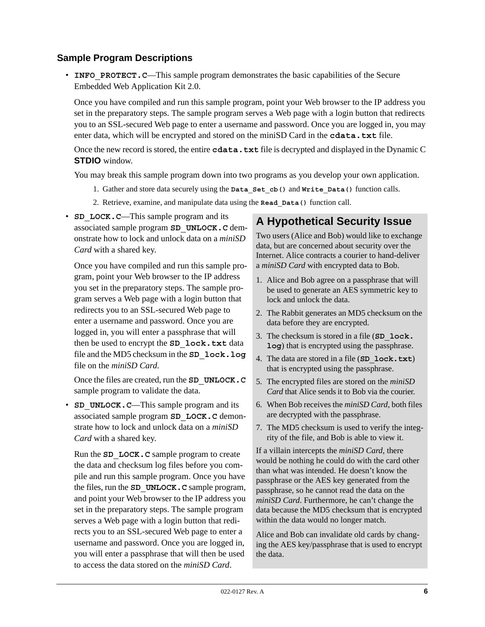#### **Sample Program Descriptions**

• **INFO** PROTECT. C—This sample program demonstrates the basic capabilities of the Secure Embedded Web Application Kit 2.0.

Once you have compiled and run this sample program, point your Web browser to the IP address you set in the preparatory steps. The sample program serves a Web page with a login button that redirects you to an SSL-secured Web page to enter a username and password. Once you are logged in, you may enter data, which will be encrypted and stored on the miniSD Card in the **cdata.txt** file.

Once the new record is stored, the entire **cdata.txt** file is decrypted and displayed in the Dynamic C **STDIO** window.

You may break this sample program down into two programs as you develop your own application.

- 1. Gather and store data securely using the **Data\_Set\_cb()** and **Write\_Data()** function calls.
- 2. Retrieve, examine, and manipulate data using the **Read\_Data()** function call.
- **SD** LOCK.C—This sample program and its associated sample program **SD\_UNLOCK.C** demonstrate how to lock and unlock data on a *miniSD Card* with a shared key.

Once you have compiled and run this sample program, point your Web browser to the IP address you set in the preparatory steps. The sample program serves a Web page with a login button that redirects you to an SSL-secured Web page to enter a username and password. Once you are logged in, you will enter a passphrase that will then be used to encrypt the **SD\_lock.txt** data file and the MD5 checksum in the **SD\_lock.log** file on the *miniSD Card*.

Once the files are created, run the **SD\_UNLOCK.C** sample program to validate the data.

• **SD** UNLOCK.C—This sample program and its associated sample program **SD\_LOCK.C** demonstrate how to lock and unlock data on a *miniSD Card* with a shared key.

Run the **SD\_LOCK.C** sample program to create the data and checksum log files before you compile and run this sample program. Once you have the files, run the **SD\_UNLOCK.C** sample program, and point your Web browser to the IP address you set in the preparatory steps. The sample program serves a Web page with a login button that redirects you to an SSL-secured Web page to enter a username and password. Once you are logged in, you will enter a passphrase that will then be used to access the data stored on the *miniSD Card*.

## **A Hypothetical Security Issue**

Two users (Alice and Bob) would like to exchange data, but are concerned about security over the Internet. Alice contracts a courier to hand-deliver a *miniSD Card* with encrypted data to Bob.

- 1. Alice and Bob agree on a passphrase that will be used to generate an AES symmetric key to lock and unlock the data.
- 2. The Rabbit generates an MD5 checksum on the data before they are encrypted.
- 3. The checksum is stored in a file (**SD\_lock. log**) that is encrypted using the passphrase.
- 4. The data are stored in a file (**SD\_lock.txt**) that is encrypted using the passphrase.
- 5. The encrypted files are stored on the *miniSD Card* that Alice sends it to Bob via the courier.
- 6. When Bob receives the *miniSD Card*, both files are decrypted with the passphrase.
- 7. The MD5 checksum is used to verify the integrity of the file, and Bob is able to view it.

If a villain intercepts the *miniSD Card*, there would be nothing he could do with the card other than what was intended. He doesn't know the passphrase or the AES key generated from the passphrase, so he cannot read the data on the *miniSD Card*. Furthermore, he can't change the data because the MD5 checksum that is encrypted within the data would no longer match.

Alice and Bob can invalidate old cards by changing the AES key/passphrase that is used to encrypt the data.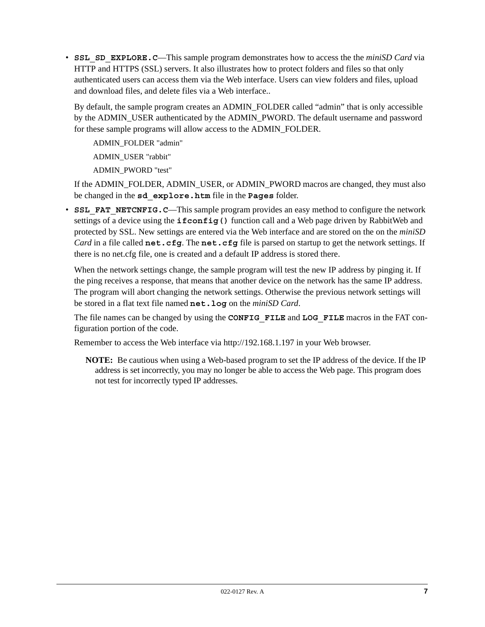• **SSL\_SD\_EXPLORE. C—This sample program demonstrates how to access the the** *miniSD Card* **via** HTTP and HTTPS (SSL) servers. It also illustrates how to protect folders and files so that only authenticated users can access them via the Web interface. Users can view folders and files, upload and download files, and delete files via a Web interface..

By default, the sample program creates an ADMIN\_FOLDER called "admin" that is only accessible by the ADMIN\_USER authenticated by the ADMIN\_PWORD. The default username and password for these sample programs will allow access to the ADMIN\_FOLDER.

ADMIN\_FOLDER "admin"

ADMIN\_USER "rabbit"

ADMIN\_PWORD "test"

If the ADMIN\_FOLDER, ADMIN\_USER, or ADMIN\_PWORD macros are changed, they must also be changed in the **sd\_explore.htm** file in the **Pages** folder.

• **SSL FAT NETCNFIG. C**—This sample program provides an easy method to configure the network settings of a device using the **ifconfig()** function call and a Web page driven by RabbitWeb and protected by SSL. New settings are entered via the Web interface and are stored on the on the *miniSD Card* in a file called **net.cfg**. The **net.cfg** file is parsed on startup to get the network settings. If there is no net.cfg file, one is created and a default IP address is stored there.

When the network settings change, the sample program will test the new IP address by pinging it. If the ping receives a response, that means that another device on the network has the same IP address. The program will abort changing the network settings. Otherwise the previous network settings will be stored in a flat text file named **net.log** on the *miniSD Card*.

The file names can be changed by using the **CONFIG\_FILE** and **LOG\_FILE** macros in the FAT configuration portion of the code.

Remember to access the Web interface via http://192.168.1.197 in your Web browser.

**NOTE:** Be cautious when using a Web-based program to set the IP address of the device. If the IP address is set incorrectly, you may no longer be able to access the Web page. This program does not test for incorrectly typed IP addresses.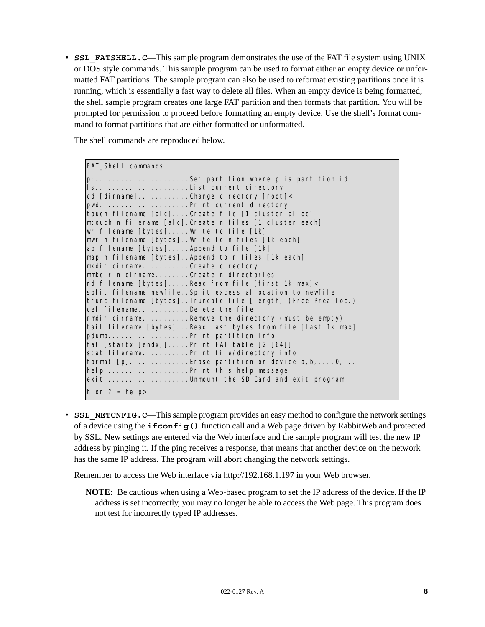• **SSL** FATSHELL.C—This sample program demonstrates the use of the FAT file system using UNIX or DOS style commands. This sample program can be used to format either an empty device or unformatted FAT partitions. The sample program can also be used to reformat existing partitions once it is running, which is essentially a fast way to delete all files. When an empty device is being formatted, the shell sample program creates one large FAT partition and then formats that partition. You will be prompted for permission to proceed before formatting an empty device. Use the shell's format command to format partitions that are either formatted or unformatted.

The shell commands are reproduced below.

| <b>FAT_Shell</b> commands                                                                                                                                                                                                                                                                                                                                                                                                                                                                                                                                                                                                                                                                                                                                                                                                                                                                                                                                                                                                                                                                                               |
|-------------------------------------------------------------------------------------------------------------------------------------------------------------------------------------------------------------------------------------------------------------------------------------------------------------------------------------------------------------------------------------------------------------------------------------------------------------------------------------------------------------------------------------------------------------------------------------------------------------------------------------------------------------------------------------------------------------------------------------------------------------------------------------------------------------------------------------------------------------------------------------------------------------------------------------------------------------------------------------------------------------------------------------------------------------------------------------------------------------------------|
| p:Set partition where p is partition id<br>cd [dirname]Change directory [root]<<br>pwdPrint current directory<br>touch filename [alc]Create file [1 cluster alloc]<br>mtouch n filename [alc]. Create n files [1 cluster each]<br>wr filename [bytes]Write to file [1k]<br>mwr n filename [bytes]Write to n files [1k each]<br>ap filename [bytes] Append to file [1k]<br>map n filename [bytes]. Append to n files [1k each]<br>mkdir dirnameCreate directory<br>mmkdir n dirnameCreate n directories<br>rd filename [bytes]Read from file [first 1k max]<<br>split filename newfile. Split excess allocation to newfile<br>trunc filename [bytes]Truncate file [length] (Free Prealloc.)<br>del filenameDelete the file<br>rmdir dirnameRemove the directory (must be empty)<br>tail filename [bytes]Read last bytes from file [last 1k max]<br>pdumpPrint partition info<br>$fat$ [startx [endx]]Print FAT table $[2 [64]]$<br>stat filenamePrint file/directory info<br>format $[p]$ Erase partition or device $a, b, \ldots, 0, \ldots$<br>helpPrint this help message<br>exitUnmount the SD Card and exit program |
| $h$ or ? = help>                                                                                                                                                                                                                                                                                                                                                                                                                                                                                                                                                                                                                                                                                                                                                                                                                                                                                                                                                                                                                                                                                                        |

• **SSL NETCNFIG.C—This sample program provides an easy method to configure the network settings** of a device using the **ifconfig()** function call and a Web page driven by RabbitWeb and protected by SSL. New settings are entered via the Web interface and the sample program will test the new IP address by pinging it. If the ping receives a response, that means that another device on the network has the same IP address. The program will abort changing the network settings.

Remember to access the Web interface via http://192.168.1.197 in your Web browser.

**NOTE:** Be cautious when using a Web-based program to set the IP address of the device. If the IP address is set incorrectly, you may no longer be able to access the Web page. This program does not test for incorrectly typed IP addresses.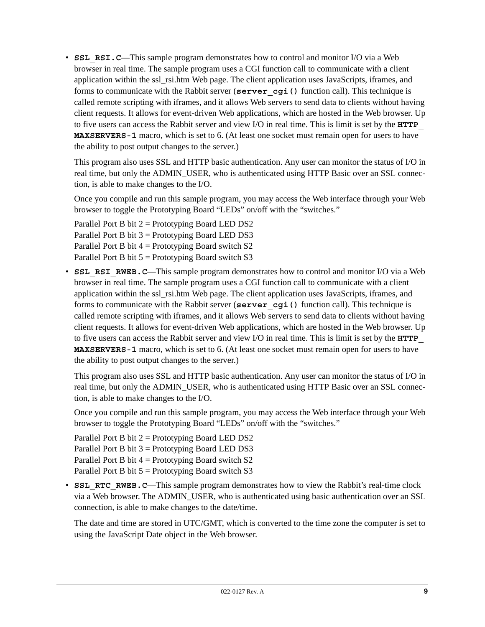• **SSL RSI.C—This sample program demonstrates how to control and monitor I/O via a Web** browser in real time. The sample program uses a CGI function call to communicate with a client application within the ssl\_rsi.htm Web page. The client application uses JavaScripts, iframes, and forms to communicate with the Rabbit server (server cgi() function call). This technique is called remote scripting with iframes, and it allows Web servers to send data to clients without having client requests. It allows for event-driven Web applications, which are hosted in the Web browser. Up to five users can access the Rabbit server and view I/O in real time. This is limit is set by the **HTTP\_ MAXSERVERS-1** macro, which is set to 6. (At least one socket must remain open for users to have the ability to post output changes to the server.)

This program also uses SSL and HTTP basic authentication. Any user can monitor the status of I/O in real time, but only the ADMIN\_USER, who is authenticated using HTTP Basic over an SSL connection, is able to make changes to the I/O.

Once you compile and run this sample program, you may access the Web interface through your Web browser to toggle the Prototyping Board "LEDs" on/off with the "switches."

Parallel Port B bit  $2 =$  Prototyping Board LED DS2 Parallel Port B bit  $3 =$  Prototyping Board LED DS3 Parallel Port B bit  $4 =$  Prototyping Board switch S2 Parallel Port B bit  $5 =$  Prototyping Board switch S3

• **SSL RSI RWEB. C—This sample program demonstrates how to control and monitor I/O via a Web** browser in real time. The sample program uses a CGI function call to communicate with a client application within the ssl\_rsi.htm Web page. The client application uses JavaScripts, iframes, and forms to communicate with the Rabbit server (**server\_cgi()** function call). This technique is called remote scripting with iframes, and it allows Web servers to send data to clients without having client requests. It allows for event-driven Web applications, which are hosted in the Web browser. Up to five users can access the Rabbit server and view I/O in real time. This is limit is set by the **HTTP\_ MAXSERVERS-1** macro, which is set to 6. (At least one socket must remain open for users to have the ability to post output changes to the server.)

This program also uses SSL and HTTP basic authentication. Any user can monitor the status of I/O in real time, but only the ADMIN\_USER, who is authenticated using HTTP Basic over an SSL connection, is able to make changes to the I/O.

Once you compile and run this sample program, you may access the Web interface through your Web browser to toggle the Prototyping Board "LEDs" on/off with the "switches."

Parallel Port B bit  $2 =$  Prototyping Board LED DS2 Parallel Port B bit  $3 =$  Prototyping Board LED DS3 Parallel Port B bit  $4 =$  Prototyping Board switch S2 Parallel Port B bit  $5 =$  Prototyping Board switch S3

• **SSL RTC RWEB.C—This sample program demonstrates how to view the Rabbit's real-time clock** via a Web browser. The ADMIN\_USER, who is authenticated using basic authentication over an SSL connection, is able to make changes to the date/time.

The date and time are stored in UTC/GMT, which is converted to the time zone the computer is set to using the JavaScript Date object in the Web browser.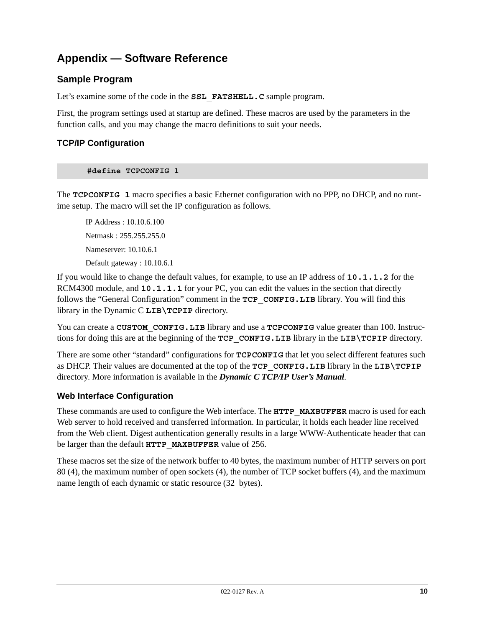# **Appendix — Software Reference**

### **Sample Program**

Let's examine some of the code in the **SSL FATSHELL.** C sample program.

First, the program settings used at startup are defined. These macros are used by the parameters in the function calls, and you may change the macro definitions to suit your needs.

#### **TCP/IP Configuration**

#### **#define TCPCONFIG 1**

The **TCPCONFIG 1** macro specifies a basic Ethernet configuration with no PPP, no DHCP, and no runtime setup. The macro will set the IP configuration as follows.

IP Address : 10.10.6.100 Netmask : 255.255.255.0 Nameserver: 10.10.6.1 Default gateway : 10.10.6.1

If you would like to change the default values, for example, to use an IP address of **10.1.1.2** for the RCM4300 module, and **10.1.1.1** for your PC, you can edit the values in the section that directly follows the "General Configuration" comment in the **TCP\_CONFIG.LIB** library. You will find this library in the Dynamic C **LIB\TCPIP** directory.

You can create a **CUSTOM CONFIG.LIB** library and use a **TCPCONFIG** value greater than 100. Instructions for doing this are at the beginning of the **TCP\_CONFIG.LIB** library in the **LIB\TCPIP** directory.

There are some other "standard" configurations for **TCPCONFIG** that let you select different features such as DHCP. Their values are documented at the top of the **TCP\_CONFIG.LIB** library in the **LIB\TCPIP** directory. More information is available in the *Dynamic C TCP/IP User's Manual*.

#### **Web Interface Configuration**

These commands are used to configure the Web interface. The **HTTP\_MAXBUFFER** macro is used for each Web server to hold received and transferred information. In particular, it holds each header line received from the Web client. Digest authentication generally results in a large WWW-Authenticate header that can be larger than the default **HTTP\_MAXBUFFER** value of 256.

These macros set the size of the network buffer to 40 bytes, the maximum number of HTTP servers on port 80 (4), the maximum number of open sockets (4), the number of TCP socket buffers (4), and the maximum name length of each dynamic or static resource (32 bytes).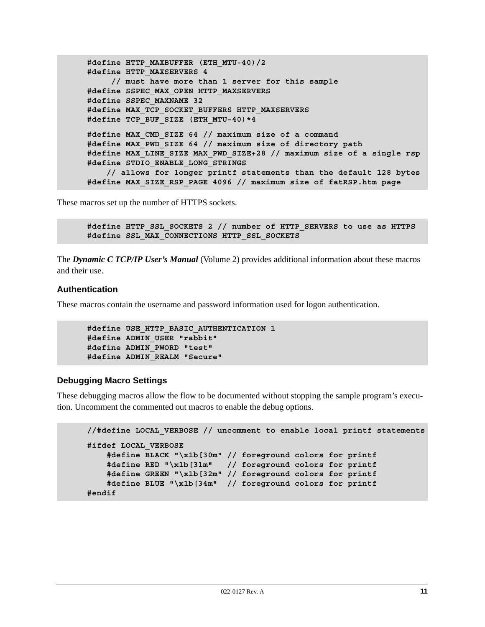```
#define HTTP_MAXBUFFER (ETH_MTU-40)/2
#define HTTP_MAXSERVERS 4 
      // must have more than 1 server for this sample
#define SSPEC_MAX_OPEN HTTP_MAXSERVERS
#define SSPEC_MAXNAME 32
#define MAX_TCP_SOCKET_BUFFERS HTTP_MAXSERVERS
#define TCP_BUF_SIZE (ETH_MTU-40)*4
#define MAX_CMD_SIZE 64 // maximum size of a command
#define MAX_PWD_SIZE 64 // maximum size of directory path
#define MAX_LINE_SIZE MAX_PWD_SIZE+28 // maximum size of a single rsp
#define STDIO_ENABLE_LONG_STRINGS
     // allows for longer printf statements than the default 128 bytes
#define MAX_SIZE_RSP_PAGE 4096 // maximum size of fatRSP.htm page
```
These macros set up the number of HTTPS sockets.

```
#define HTTP_SSL_SOCKETS 2 // number of HTTP_SERVERS to use as HTTPS
#define SSL_MAX_CONNECTIONS HTTP_SSL_SOCKETS
```
The *Dynamic C TCP/IP User's Manual* (Volume 2) provides additional information about these macros and their use.

#### **Authentication**

These macros contain the username and password information used for logon authentication.

```
#define USE_HTTP_BASIC_AUTHENTICATION 1
#define ADMIN_USER "rabbit"
#define ADMIN_PWORD "test"
#define ADMIN_REALM "Secure"
```
#### **Debugging Macro Settings**

These debugging macros allow the flow to be documented without stopping the sample program's execution. Uncomment the commented out macros to enable the debug options.

```
//#define LOCAL_VERBOSE // uncomment to enable local printf statements
#ifdef LOCAL_VERBOSE
    #define BLACK "\x1b[30m" // foreground colors for printf
    #define RED "\x1b[31m" // foreground colors for printf
    #define GREEN "\x1b[32m" // foreground colors for printf
    #define BLUE "\x1b[34m" // foreground colors for printf
#endif
```